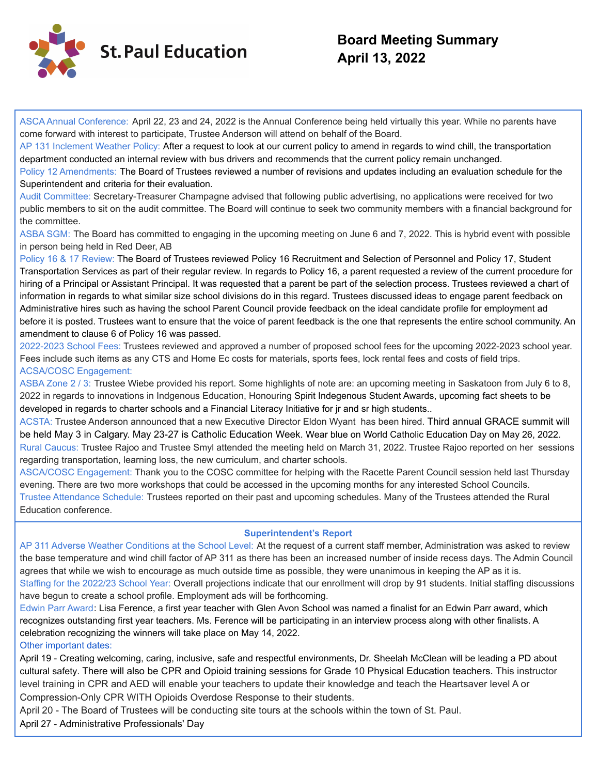

# **Board Meeting Summary April 13, 2022**

ASCA Annual Conference: April 22, 23 and 24, 2022 is the Annual Conference being held virtually this year. While no parents have come forward with interest to participate, Trustee Anderson will attend on behalf of the Board.

AP 131 Inclement Weather Policy: After a request to look at our current policy to amend in regards to wind chill, the transportation department conducted an internal review with bus drivers and recommends that the current policy remain unchanged.

Policy 12 Amendments: The Board of Trustees reviewed a number of revisions and updates including an evaluation schedule for the Superintendent and criteria for their evaluation.

Audit Committee: Secretary-Treasurer Champagne advised that following public advertising, no applications were received for two public members to sit on the audit committee. The Board will continue to seek two community members with a financial background for the committee.

ASBA SGM: The Board has committed to engaging in the upcoming meeting on June 6 and 7, 2022. This is hybrid event with possible in person being held in Red Deer, AB

Policy 16 & 17 Review: The Board of Trustees reviewed Policy 16 Recruitment and Selection of Personnel and Policy 17, Student Transportation Services as part of their regular review. In regards to Policy 16, a parent requested a review of the current procedure for hiring of a Principal or Assistant Principal. It was requested that a parent be part of the selection process. Trustees reviewed a chart of information in regards to what similar size school divisions do in this regard. Trustees discussed ideas to engage parent feedback on Administrative hires such as having the school Parent Council provide feedback on the ideal candidate profile for employment ad before it is posted. Trustees want to ensure that the voice of parent feedback is the one that represents the entire school community. An amendment to clause 6 of Policy 16 was passed.

2022-2023 School Fees: Trustees reviewed and approved a number of proposed school fees for the upcoming 2022-2023 school year. Fees include such items as any CTS and Home Ec costs for materials, sports fees, lock rental fees and costs of field trips. ACSA/COSC Engagement:

ASBA Zone 2 / 3: Trustee Wiebe provided his report. Some highlights of note are: an upcoming meeting in Saskatoon from July 6 to 8, 2022 in regards to innovations in Indgenous Education, Honouring Spirit Indegenous Student Awards, upcoming fact sheets to be developed in regards to charter schools and a Financial Literacy Initiative for jr and sr high students..

ACSTA: Trustee Anderson announced that a new Executive Director Eldon Wyant has been hired. Third annual GRACE summit will be held May 3 in Calgary. May 23-27 is Catholic Education Week. Wear blue on World Catholic Education Day on May 26, 2022. Rural Caucus: Trustee Rajoo and Trustee Smyl attended the meeting held on March 31, 2022. Trustee Rajoo reported on her sessions regarding transportation, learning loss, the new curriculum, and charter schools.

ASCA/COSC Engagement: Thank you to the COSC committee for helping with the Racette Parent Council session held last Thursday evening. There are two more workshops that could be accessed in the upcoming months for any interested School Councils. Trustee Attendance Schedule: Trustees reported on their past and upcoming schedules. Many of the Trustees attended the Rural Education conference.

## **Superintendent's Report**

AP 311 Adverse Weather Conditions at the School Level: At the request of a current staff member, Administration was asked to review the base temperature and wind chill factor of AP 311 as there has been an increased number of inside recess days. The Admin Council agrees that while we wish to encourage as much outside time as possible, they were unanimous in keeping the AP as it is. Staffing for the 2022/23 School Year: Overall projections indicate that our enrollment will drop by 91 students. Initial staffing discussions

have begun to create a school profile. Employment ads will be forthcoming.

Edwin Parr Award: Lisa Ference, a first year teacher with Glen Avon School was named a finalist for an Edwin Parr award, which recognizes outstanding first year teachers. Ms. Ference will be participating in an interview process along with other finalists. A celebration recognizing the winners will take place on May 14, 2022.

Other important dates:

April 19 - Creating welcoming, caring, inclusive, safe and respectful environments, Dr. Sheelah McClean will be leading a PD about cultural safety. There will also be CPR and Opioid training sessions for Grade 10 Physical Education teachers. This instructor level training in CPR and AED will enable your teachers to update their knowledge and teach the Heartsaver level A or Compression-Only CPR WITH Opioids Overdose Response to their students.

April 20 - The Board of Trustees will be conducting site tours at the schools within the town of St. Paul.

April 27 - Administrative Professionals' Day